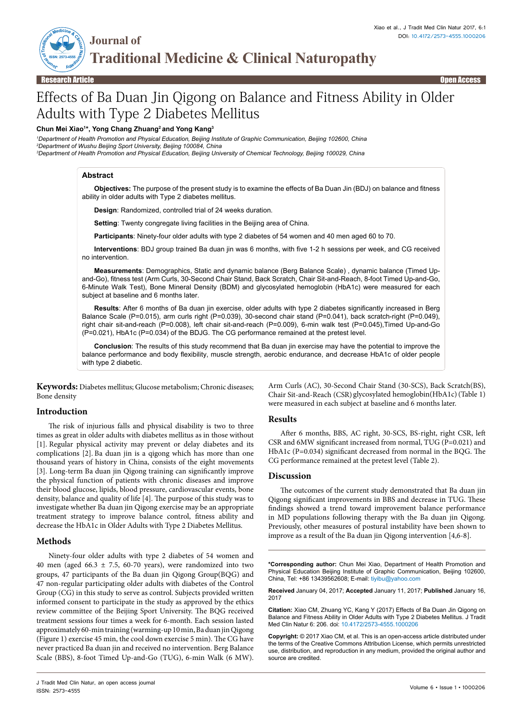THE MISSISSIPPE OF THE REAL PROPERTY **ISSN: 2573-4555 Journal of Traditional Medicine & Clinical Naturopathy**

# Effects of Ba Duan Jin Qigong on Balance and Fitness Ability in Older Adults with Type 2 Diabetes Mellitus

#### **Chun Mei Xiao1 \*, Yong Chang Zhuang2 and Yong Kang3**

*1 Department of Health Promotion and Physical Education, Beijing Institute of Graphic Communication, Beijing 102600, China 2 Department of Wushu Beijing Sport University, Beijing 100084, China 3 Department of Health Promotion and Physical Education, Beijing University of Chemical Technology, Beijing 100029, China*

#### **Abstract**

**Objectives:** The purpose of the present study is to examine the effects of Ba Duan Jin (BDJ) on balance and fitness ability in older adults with Type 2 diabetes mellitus.

**Design**: Randomized, controlled trial of 24 weeks duration.

**Setting:** Twenty congregate living facilities in the Beijing area of China.

**Participants**: Ninety-four older adults with type 2 diabetes of 54 women and 40 men aged 60 to 70.

**Interventions**: BDJ group trained Ba duan jin was 6 months, with five 1-2 h sessions per week, and CG received no intervention.

**Measurements**: Demographics, Static and dynamic balance (Berg Balance Scale) , dynamic balance (Timed Upand-Go), fitness test (Arm Curls, 30-Second Chair Stand, Back Scratch, Chair Sit-and-Reach, 8-foot Timed Up-and-Go, 6-Minute Walk Test), Bone Mineral Density (BDM) and glycosylated hemoglobin (HbA1c) were measured for each subject at baseline and 6 months later.

**Results**: After 6 months of Ba duan jin exercise, older adults with type 2 diabetes significantly increased in Berg Balance Scale (P=0.015), arm curls right (P=0.039), 30-second chair stand (P=0.041), back scratch-right (P=0.049), right chair sit-and-reach (P=0.008), left chair sit-and-reach (P=0.009), 6-min walk test (P=0.045),Timed Up-and-Go (P=0.021), HbA1c (P=0.034) of the BDJG. The CG performance remained at the pretest level.

**Conclusion**: The results of this study recommend that Ba duan jin exercise may have the potential to improve the balance performance and body flexibility, muscle strength, aerobic endurance, and decrease HbA1c of older people with type 2 diabetic.

**Keywords:** Diabetes mellitus; Glucose metabolism; Chronic diseases; Bone density

## **Introduction**

The risk of injurious falls and physical disability is two to three times as great in older adults with diabetes mellitus as in those without [1]. Regular physical activity may prevent or delay diabetes and its complications [2]. Ba duan jin is a qigong which has more than one thousand years of history in China, consists of the eight movements [3]. Long-term Ba duan jin Qigong training can significantly improve the physical function of patients with chronic diseases and improve their blood glucose, lipids, blood pressure, cardiovascular events, bone density, balance and quality of life [4]. The purpose of this study was to investigate whether Ba duan jin Qigong exercise may be an appropriate treatment strategy to improve balance control, fitness ability and decrease the HbA1c in Older Adults with Type 2 Diabetes Mellitus.

## **Methods**

Ninety-four older adults with type 2 diabetes of 54 women and 40 men (aged 66.3  $\pm$  7.5, 60-70 years), were randomized into two groups, 47 participants of the Ba duan jin Qigong Group(BQG) and 47 non-regular participating older adults with diabetes of the Control Group (CG) in this study to serve as control. Subjects provided written informed consent to participate in the study as approved by the ethics review committee of the Beijing Sport University. The BQG received treatment sessions four times a week for 6-month. Each session lasted approximately 60-min training (warming-up 10 min, Ba duan jin Qigong (Figure 1) exercise 45 min, the cool down exercise 5 min). The CG have never practiced Ba duan jin and received no intervention. Berg Balance Scale (BBS), 8-foot Timed Up-and-Go (TUG), 6-min Walk (6 MW).

Arm Curls (AC), 30-Second Chair Stand (30-SCS), Back Scratch(BS), Chair Sit-and-Reach (CSR) glycosylated hemoglobin(HbA1c)(Table 1) were measured in each subject at baseline and 6 months later.

## **Results**

After 6 months, BBS, AC right, 30-SCS, BS-right, right CSR, left CSR and 6MW significant increased from normal, TUG (P=0.021) and HbA1c (P=0.034) significant decreased from normal in the BQG. The CG performance remained at the pretest level (Table 2).

## **Discussion**

The outcomes of the current study demonstrated that Ba duan jin Qigong significant improvements in BBS and decrease in TUG. These findings showed a trend toward improvement balance performance in MD populations following therapy with the Ba duan jin Qigong. Previously, other measures of postural instability have been shown to improve as a result of the Ba duan jin Qigong intervention [4,6-8].

**\*Corresponding author:** Chun Mei Xiao, Department of Health Promotion and Physical Education Beijing Institute of Graphic Communication, Beijing 102600, China, Tel: +86 13439562608; E-mail: tiyibu@yahoo.com

**Received** January 04, 2017; **Accepted** January 11, 2017; **Published** January 16, 2017

**Citation:** Xiao CM, Zhuang YC, Kang Y (2017) Effects of Ba Duan Jin Qigong on Balance and Fitness Ability in Older Adults with Type 2 Diabetes Mellitus. J Tradit Med Clin Natur 6: 206. doi: 10.4172/2573-4555.1000206

**Copyright:** © 2017 Xiao CM, et al. This is an open-access article distributed under the terms of the Creative Commons Attribution License, which permits unrestricted use, distribution, and reproduction in any medium, provided the original author and source are credited.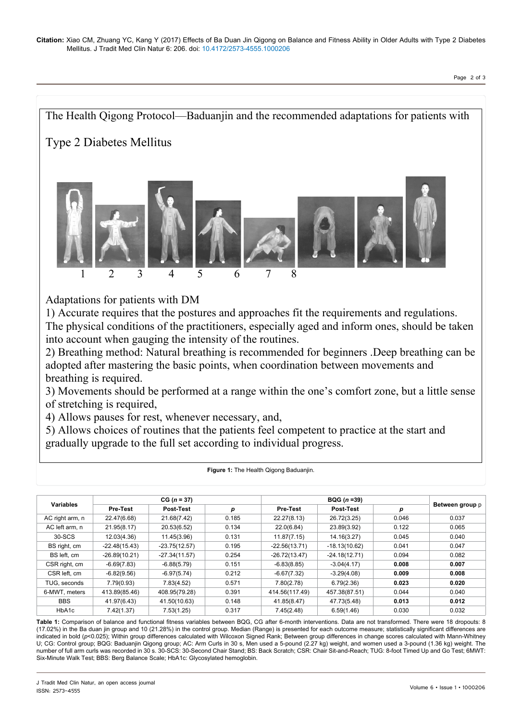

# Adaptations for patients with DM

1) Accurate requires that the postures and approaches fit the requirements and regulations. The physical conditions of the practitioners, especially aged and inform ones, should be taken into account when gauging the intensity of the routines.

2) Breathing method: Natural breathing is recommended for beginners .Deep breathing can be adopted after mastering the basic points, when coordination between movements and breathing is required.

3) Movements should be performed at a range within the one's comfort zone, but a little sense of stretching is required,

4) Allows pauses for rest, whenever necessary, and,

5) Allows choices of routines that the patients feel competent to practice at the start and gradually upgrade to the full set according to individual progress.

| <b>Variables</b> | $CG (n = 37)$   |                  |       | $BQG (n = 39)$  |                  |       |                 |
|------------------|-----------------|------------------|-------|-----------------|------------------|-------|-----------------|
|                  | <b>Pre-Test</b> | <b>Post-Test</b> | р     | <b>Pre-Test</b> | <b>Post-Test</b> | р     | Between group p |
| AC right arm, n  | 22.47(6.68)     | 21.68(7.42)      | 0.185 | 22.27(8.13)     | 26.72(3.25)      | 0.046 | 0.037           |
| AC left arm, n   | 21.95(8.17)     | 20.53(6.52)      | 0.134 | 22.0(6.84)      | 23.89(3.92)      | 0.122 | 0.065           |
| 30-SCS           | 12.03(4.36)     | 11.45(3.96)      | 0.131 | 11.87(7.15)     | 14.16(3.27)      | 0.045 | 0.040           |
| BS right, cm     | $-22.48(15.43)$ | $-23.75(12.57)$  | 0.195 | $-22.56(13.71)$ | $-18.13(10.62)$  | 0.041 | 0.047           |
| BS left, cm      | $-26.89(10.21)$ | $-27.34(11.57)$  | 0.254 | $-26.72(13.47)$ | $-24.18(12.71)$  | 0.094 | 0.082           |
| CSR right, cm    | $-6.69(7.83)$   | $-6.88(5.79)$    | 0.151 | $-6.83(8.85)$   | $-3.04(4.17)$    | 0.008 | 0.007           |
| CSR left, cm     | $-6.82(9.56)$   | $-6.97(5.74)$    | 0.212 | $-6.67(7.32)$   | $-3.29(4.08)$    | 0.009 | 0.008           |
| TUG, seconds     | 7.79(0.93)      | 7.83(4.52)       | 0.571 | 7.80(2.78)      | 6.79(2.36)       | 0.023 | 0.020           |
| 6-MWT, meters    | 413.89(85.46)   | 408.95(79.28)    | 0.391 | 414.56(117.49)  | 457.38(87.51)    | 0.044 | 0.040           |
| <b>BBS</b>       | 41.97(6.43)     | 41.50(10.63)     | 0.148 | 41.85(8.47)     | 47.73(5.48)      | 0.013 | 0.012           |
| HbA1c            | 7.42(1.37)      | 7.53(1.25)       | 0.317 | 7.45(2.48)      | 6.59(1.46)       | 0.030 | 0.032           |

**Figure 1:** The Health Qigong Baduanjin.

**Table 1:** Comparison of balance and functional fitness variables between BQG, CG after 6-month interventions. Data are not transformed. There were 18 dropouts: 8 (17.02%) in the Ba duan jin group and 10 (21.28%) in the control group. Median (Range) is presented for each outcome measure; statistically significant differences are indicated in bold (p<0.025); Within group differences calculated with Wilcoxon Signed Rank; Between group differences in change scores calculated with Mann-Whitney U; CG: Control group; BQG: Baduanjin Qigong group; AC: Arm Curls in 30 s, Men used a 5-pound (2.27 kg) weight, and women used a 3-pound (1.36 kg) weight. The number of full arm curls was recorded in 30 s. 30-SCS: 30-Second Chair Stand; BS: Back Scratch; CSR: Chair Sit-and-Reach; TUG: 8-foot Timed Up and Go Test; 6MWT: Six-Minute Walk Test; BBS: Berg Balance Scale; HbA1c: Glycosylated hemoglobin.